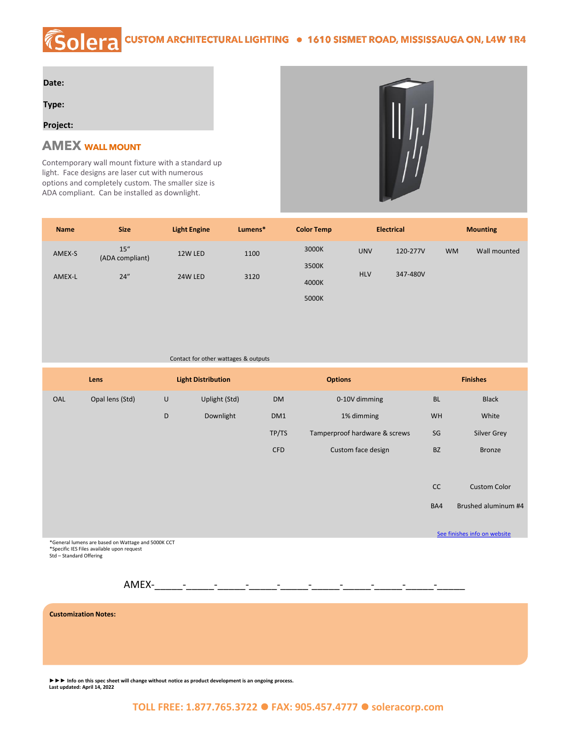## *K*solera **CUSTOM ARCHITECTURAL LIGHTING · 1610 SISMET ROAD, MISSISSAUGA ON, L4W 1R4**

| Date:    |  |  |  |
|----------|--|--|--|
| Type:    |  |  |  |
| Project: |  |  |  |

## **AMEX WALL MOUNT**

Contemporary wall mount fixture with a standard up light. Face designs are laser cut with numerous options and completely custom. The smaller size is ADA compliant. Can be installed as downlight.



| <b>Name</b> | <b>Size</b>             | <b>Light Engine</b> | Lumens* | <b>Color Temp</b> |            | <b>Electrical</b> |           | <b>Mounting</b> |
|-------------|-------------------------|---------------------|---------|-------------------|------------|-------------------|-----------|-----------------|
| AMEX-S      | 15''<br>(ADA compliant) | 12W LED             | 1100    | 3000K             | <b>UNV</b> | 120-277V          | <b>WM</b> | Wall mounted    |
|             |                         |                     |         | 3500K             |            |                   |           |                 |
| AMEX-L      | 24''                    | 24W LED             | 3120    | 4000K             | <b>HLV</b> | 347-480V          |           |                 |
|             |                         |                     |         | 5000K             |            |                   |           |                 |

## Contact for other wattages & outputs

|     | Lens            |   | <b>Light Distribution</b> | <b>Options</b> |                               | <b>Finishes</b>              |                     |
|-----|-----------------|---|---------------------------|----------------|-------------------------------|------------------------------|---------------------|
| OAL | Opal lens (Std) | U | Uplight (Std)             | <b>DM</b>      | 0-10V dimming                 | <b>BL</b>                    | <b>Black</b>        |
|     |                 | D | Downlight                 | DM1            | 1% dimming                    | <b>WH</b>                    | White               |
|     |                 |   |                           | TP/TS          | Tamperproof hardware & screws | SG                           | Silver Grey         |
|     |                 |   |                           | <b>CFD</b>     | Custom face design            | <b>BZ</b>                    | Bronze              |
|     |                 |   |                           |                |                               |                              |                     |
|     |                 |   |                           |                |                               | CC                           | <b>Custom Color</b> |
|     |                 |   |                           |                |                               | BA4                          | Brushed aluminum #4 |
|     |                 |   |                           |                |                               | See finishes info on website |                     |

\*General lumens are based on Wattage and 5000K CCT \*Specific IES Files available upon request Std – Standard Offering

 $AMEX$ - $-$ 

**Customization Notes:**

**►►► Info on this spec sheet will change without notice as product development is an ongoing process. Last updated: April 14, 2022**